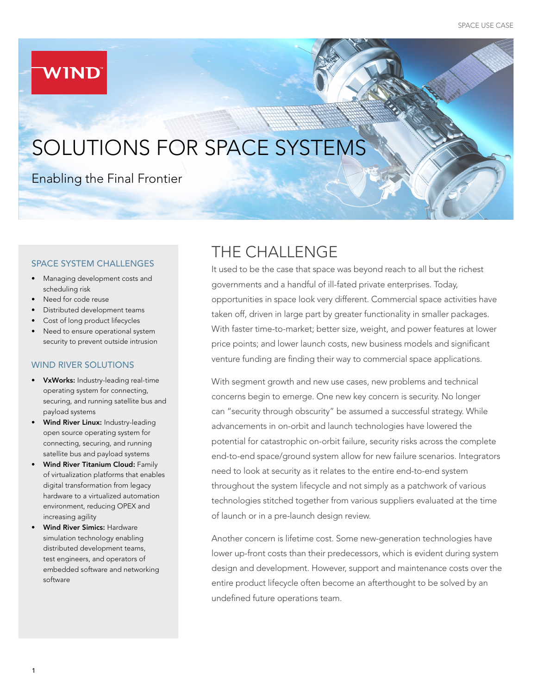# **WIND**

# SOLUTIONS FOR SPACE SYSTEMS

### Enabling the Final Frontier

#### SPACE SYSTEM CHALLENGES

- Managing development costs and scheduling risk
- Need for code reuse
- Distributed development teams
- Cost of long product lifecycles
- Need to ensure operational system security to prevent outside intrusion

#### WIND RIVER SOLUTIONS

- VxWorks: Industry-leading real-time operating system for connecting, securing, and running satellite bus and payload systems
- Wind River Linux: Industry-leading open source operating system for connecting, securing, and running satellite bus and payload systems
- Wind River Titanium Cloud: Family of virtualization platforms that enables digital transformation from legacy hardware to a virtualized automation environment, reducing OPEX and increasing agility
- Wind River Simics: Hardware simulation technology enabling distributed development teams, test engineers, and operators of embedded software and networking software

# THE CHALLENGE

It used to be the case that space was beyond reach to all but the richest governments and a handful of ill-fated private enterprises. Today, opportunities in space look very different. Commercial space activities have taken off, driven in large part by greater functionality in smaller packages. With faster time-to-market; better size, weight, and power features at lower price points; and lower launch costs, new business models and significant venture funding are finding their way to commercial space applications.

With segment growth and new use cases, new problems and technical concerns begin to emerge. One new key concern is security. No longer can "security through obscurity" be assumed a successful strategy. While advancements in on-orbit and launch technologies have lowered the potential for catastrophic on-orbit failure, security risks across the complete end-to-end space/ground system allow for new failure scenarios. Integrators need to look at security as it relates to the entire end-to-end system throughout the system lifecycle and not simply as a patchwork of various technologies stitched together from various suppliers evaluated at the time of launch or in a pre-launch design review.

Another concern is lifetime cost. Some new-generation technologies have lower up-front costs than their predecessors, which is evident during system design and development. However, support and maintenance costs over the entire product lifecycle often become an afterthought to be solved by an undefined future operations team.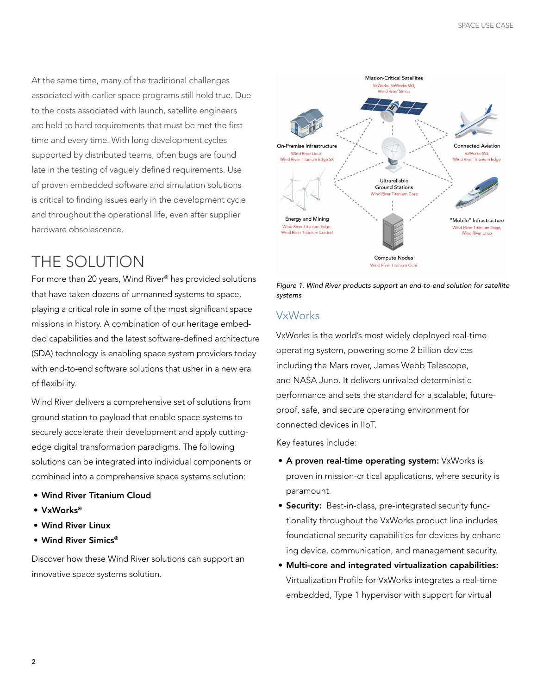At the same time, many of the traditional challenges associated with earlier space programs still hold true. Due to the costs associated with launch, satellite engineers are held to hard requirements that must be met the first time and every time. With long development cycles supported by distributed teams, often bugs are found late in the testing of vaguely defined requirements. Use of proven embedded software and simulation solutions is critical to finding issues early in the development cycle and throughout the operational life, even after supplier hardware obsolescence.

### THE SOLUTION

For more than 20 years, Wind River® has provided solutions that have taken dozens of unmanned systems to space, playing a critical role in some of the most significant space missions in history. A combination of our heritage embedded capabilities and the latest software-defined architecture (SDA) technology is enabling space system providers today with end-to-end software solutions that usher in a new era of flexibility.

Wind River delivers a comprehensive set of solutions from ground station to payload that enable space systems to securely accelerate their development and apply cuttingedge digital transformation paradigms. The following solutions can be integrated into individual components or combined into a comprehensive space systems solution:

- Wind River Titanium Cloud
- VxWorks®
- Wind River Linux
- Wind River Simics®

Discover how these Wind River solutions can support an innovative space systems solution.





### VxWorks

VxWorks is the world's most widely deployed real-time operating system, powering some 2 billion devices including the Mars rover, James Webb Telescope, and NASA Juno. It delivers unrivaled deterministic performance and sets the standard for a scalable, futureproof, safe, and secure operating environment for connected devices in IIoT.

Key features include:

- A proven real-time operating system: VxWorks is proven in mission-critical applications, where security is paramount.
- **Security:** Best-in-class, pre-integrated security functionality throughout the VxWorks product line includes foundational security capabilities for devices by enhancing device, communication, and management security.
- Multi-core and integrated virtualization capabilities: Virtualization Profile for VxWorks integrates a real-time embedded, Type 1 hypervisor with support for virtual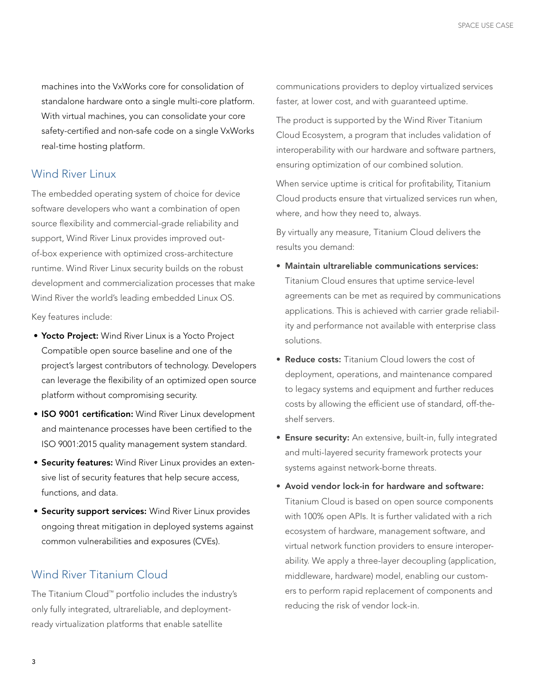machines into the VxWorks core for consolidation of standalone hardware onto a single multi-core platform. With virtual machines, you can consolidate your core safety-certified and non-safe code on a single VxWorks real-time hosting platform.

#### Wind River Linux

The embedded operating system of choice for device software developers who want a combination of open source flexibility and commercial-grade reliability and support, Wind River Linux provides improved outof-box experience with optimized cross-architecture runtime. Wind River Linux security builds on the robust development and commercialization processes that make Wind River the world's leading embedded Linux OS.

Key features include:

- Yocto Project: Wind River Linux is a Yocto Project Compatible open source baseline and one of the project's largest contributors of technology. Developers can leverage the flexibility of an optimized open source platform without compromising security.
- ISO 9001 certification: Wind River Linux development and maintenance processes have been certified to the ISO 9001:2015 quality management system standard.
- **Security features:** Wind River Linux provides an extensive list of security features that help secure access, functions, and data.
- **Security support services:** Wind River Linux provides ongoing threat mitigation in deployed systems against common vulnerabilities and exposures (CVEs).

### Wind River Titanium Cloud

The Titanium Cloud™ portfolio includes the industry's only fully integrated, ultrareliable, and deploymentready virtualization platforms that enable satellite

communications providers to deploy virtualized services faster, at lower cost, and with guaranteed uptime.

The product is supported by the Wind River Titanium Cloud Ecosystem, a program that includes validation of interoperability with our hardware and software partners, ensuring optimization of our combined solution.

When service uptime is critical for profitability, Titanium Cloud products ensure that virtualized services run when, where, and how they need to, always.

By virtually any measure, Titanium Cloud delivers the results you demand:

- Maintain ultrareliable communications services: Titanium Cloud ensures that uptime service-level agreements can be met as required by communications applications. This is achieved with carrier grade reliability and performance not available with enterprise class solutions.
- Reduce costs: Titanium Cloud lowers the cost of deployment, operations, and maintenance compared to legacy systems and equipment and further reduces costs by allowing the efficient use of standard, off-theshelf servers.
- Ensure security: An extensive, built-in, fully integrated and multi-layered security framework protects your systems against network-borne threats.
- Avoid vendor lock-in for hardware and software: Titanium Cloud is based on open source components with 100% open APIs. It is further validated with a rich ecosystem of hardware, management software, and virtual network function providers to ensure interoperability. We apply a three-layer decoupling (application, middleware, hardware) model, enabling our customers to perform rapid replacement of components and reducing the risk of vendor lock-in.